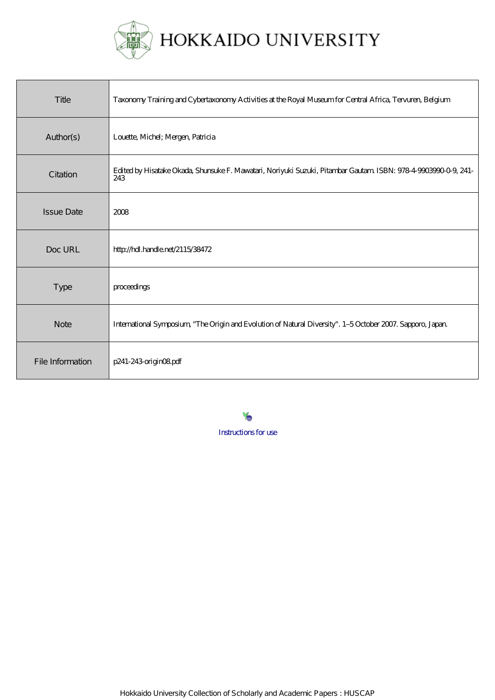

# HOKKAIDO UNIVERSITY

| Title             | Taxonomy Training and Cybertaxonomy Activities at the Royal Museum for Central Africa, Tervuren, Belgium              |
|-------------------|-----------------------------------------------------------------------------------------------------------------------|
| Author(s)         | Louette, Michel; Mergen, Patricia                                                                                     |
| Citation          | Edited by Hisatake Okada, Shunsuke F. Mawatari, Noriyuki Suzuki, Pitambar Gautam ISBN: 978-4-9003990-0-9, 241-<br>243 |
| <b>Issue Date</b> | 2008                                                                                                                  |
| Doc URL           | http://hdl.handle.net/2115/38472                                                                                      |
| <b>Type</b>       | proceedings                                                                                                           |
| <b>Note</b>       | International Symposium, "The Origin and Evolution of Natural Diversity". 1-5 October 2007. Sapporo, Japan.           |
| File Information  | p241-243 origin08pdf                                                                                                  |

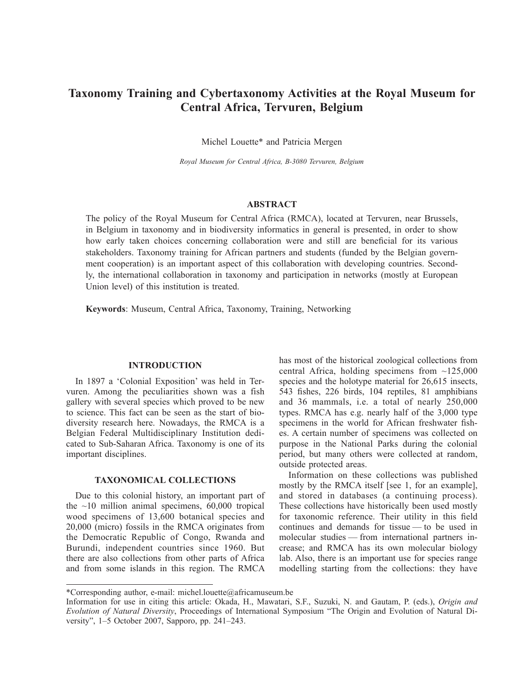# **Taxonomy Training and Cybertaxonomy Activities at the Royal Museum for Central Africa, Tervuren, Belgium**

Michel Louette\* and Patricia Mergen

*Royal Museum for Central Africa, B-3080 Tervuren, Belgium*

# **ABSTRACT**

The policy of the Royal Museum for Central Africa (RMCA), located at Tervuren, near Brussels, in Belgium in taxonomy and in biodiversity informatics in general is presented, in order to show how early taken choices concerning collaboration were and still are beneficial for its various stakeholders. Taxonomy training for African partners and students (funded by the Belgian government cooperation) is an important aspect of this collaboration with developing countries. Secondly, the international collaboration in taxonomy and participation in networks (mostly at European Union level) of this institution is treated.

**Keywords**: Museum, Central Africa, Taxonomy, Training, Networking

### **INTRODUCTION**

In 1897 a 'Colonial Exposition' was held in Tervuren. Among the peculiarities shown was a fish gallery with several species which proved to be new to science. This fact can be seen as the start of biodiversity research here. Nowadays, the RMCA is a Belgian Federal Multidisciplinary Institution dedicated to Sub-Saharan Africa. Taxonomy is one of its important disciplines.

# **TAXONOMICAL COLLECTIONS**

Due to this colonial history, an important part of the  $\sim$ 10 million animal specimens, 60,000 tropical wood specimens of 13,600 botanical species and 20,000 (micro) fossils in the RMCA originates from the Democratic Republic of Congo, Rwanda and Burundi, independent countries since 1960. But there are also collections from other parts of Africa and from some islands in this region. The RMCA has most of the historical zoological collections from central Africa, holding specimens from  $\sim$ 125,000 species and the holotype material for 26,615 insects, 543 fishes, 226 birds, 104 reptiles, 81 amphibians and 36 mammals, i.e. a total of nearly 250,000 types. RMCA has e.g. nearly half of the 3,000 type specimens in the world for African freshwater fishes. A certain number of specimens was collected on purpose in the National Parks during the colonial period, but many others were collected at random, outside protected areas.

Information on these collections was published mostly by the RMCA itself [see 1, for an example], and stored in databases (a continuing process). These collections have historically been used mostly for taxonomic reference. Their utility in this field continues and demands for tissue — to be used in molecular studies — from international partners increase; and RMCA has its own molecular biology lab. Also, there is an important use for species range modelling starting from the collections: they have

<sup>\*</sup>Corresponding author, e-mail: michel.louette@africamuseum.be

Information for use in citing this article: Okada, H., Mawatari, S.F., Suzuki, N. and Gautam, P. (eds.), *Origin and Evolution of Natural Diversity*, Proceedings of International Symposium "The Origin and Evolution of Natural Diversity", 1–5 October 2007, Sapporo, pp. 241–243.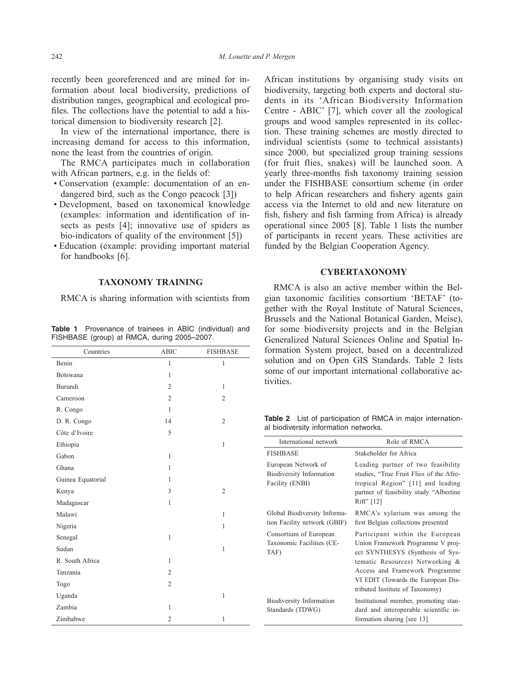recently been georeferenced and are mined for information about local biodiversity, predictions of distribution ranges, geographical and ecological profiles. The collections have the potential to add a historical dimension to biodiversity research [2].

In view of the international importance, there is increasing demand for access to this information, none the least from the countries of origin.

The RMCA participates much in collaboration with African partners, e.g. in the fields of:

- Conservation (example: documentation of an endangered bird, such as the Congo peacock [3])
- Development, based on taxonomical knowledge (examples: information and identification of insects as pests [4]; innovative use of spiders as bio-indicators of quality of the environment [5])
- Education (example: providing important material for handbooks [6].

#### **TAXONOMY TRAINING**

RMCA is sharing information with scientists from

**Table 1** Provenance of trainees in ABIC (individual) and FISHBASE (group) at RMCA, during 2005–2007.

| Countries         | <b>ABIC</b>    | <b>FISHBASE</b> |
|-------------------|----------------|-----------------|
| Benin             | $\mathbf{1}$   | $\mathbf{1}$    |
| Botswana          | $\mathbf{1}$   |                 |
| Burundi           | $\overline{2}$ | $\mathbf{1}$    |
| Cameroon          | $\overline{2}$ | $\mathfrak{2}$  |
| R. Congo          | $\mathbf{1}$   |                 |
| D. R. Congo       | 14             | $\mathfrak{2}$  |
| Côte d'Ivoire     | 5              |                 |
| Ethiopia          |                | $\mathbf{1}$    |
| Gabon             | $\mathbf{1}$   |                 |
| Ghana             | $\mathbf{1}$   |                 |
| Guinea Equatorial | $\mathbf{1}$   |                 |
| Kenya             | 3              | $\mathfrak{2}$  |
| Madagascar        | $\mathbf{1}$   |                 |
| Malawi            |                | $\mathbf{1}$    |
| Nigeria           |                | $\mathbf{1}$    |
| Senegal           | $\mathbf{1}$   |                 |
| Sudan             |                | $\mathbf 1$     |
| R. South Africa   | $\mathbf{1}$   |                 |
| Tanzania          | $\overline{2}$ |                 |
| Togo              | $\overline{2}$ |                 |
| Uganda            |                | $\mathbf{1}$    |
| Zambia            | $\mathbf{1}$   |                 |
| Zimbabwe          | $\overline{2}$ | $\mathbf{1}$    |

African institutions by organising study visits on biodiversity, targeting both experts and doctoral students in its 'African Biodiversity Information Centre - ABIC' [7], which cover all the zoological groups and wood samples represented in its collection. These training schemes are mostly directed to individual scientists (some to technical assistants) since 2000, but specialized group training sessions (for fruit flies, snakes) will be launched soon. A yearly three-months fish taxonomy training session under the FISHBASE consortium scheme (in order to help African researchers and fishery agents gain access via the Internet to old and new literature on fish, fishery and fish farming from Africa) is already operational since 2005 [8]. Table 1 lists the number of participants in recent years. These activities are funded by the Belgian Cooperation Agency.

## **CYBERTAXONOMY**

RMCA is also an active member within the Belgian taxonomic facilities consortium 'BETAF' (together with the Royal Institute of Natural Sciences, Brussels and the National Botanical Garden, Meise), for some biodiversity projects and in the Belgian Generalized Natural Sciences Online and Spatial Information System project, based on a decentralized solution and on Open GIS Standards. Table 2 lists some of our important international collaborative activities.

**Table 2** List of participation of RMCA in major international biodiversity information networks.

| International network                                                     | Role of RMCA                                                                                                                                                                                                                                           |
|---------------------------------------------------------------------------|--------------------------------------------------------------------------------------------------------------------------------------------------------------------------------------------------------------------------------------------------------|
| <b>FISHBASE</b>                                                           | Stakeholder for Africa                                                                                                                                                                                                                                 |
| European Network of<br><b>Biodiversity Information</b><br>Facility (ENBI) | Leading partner of two feasibility<br>studies, "True Fruit Flies of the Afro-<br>tropical Region" [11] and leading<br>partner of feasibility study "Albertine<br>Rift" [12]                                                                            |
| Global Biodiversity Informa-<br>tion Facility network (GBIF)              | RMCA's xylarium was among the<br>first Belgian collections presented                                                                                                                                                                                   |
| Consortium of European<br>Taxonomic Facilities (CE-<br>TAF)               | Participant within the European<br>Union Framework Programme V proj-<br>ect SYNTHESYS (Synthesis of Sys-<br>tematic Resources) Networking &<br>Access and Framework Programme<br>VI EDIT (Towards the European Dis-<br>tributed Institute of Taxonomy) |
| <b>Biodiversity Information</b><br>Standards (TDWG)                       | Institutional member, promoting stan-<br>dard and interoperable scientific in-<br>formation sharing [see 13]                                                                                                                                           |